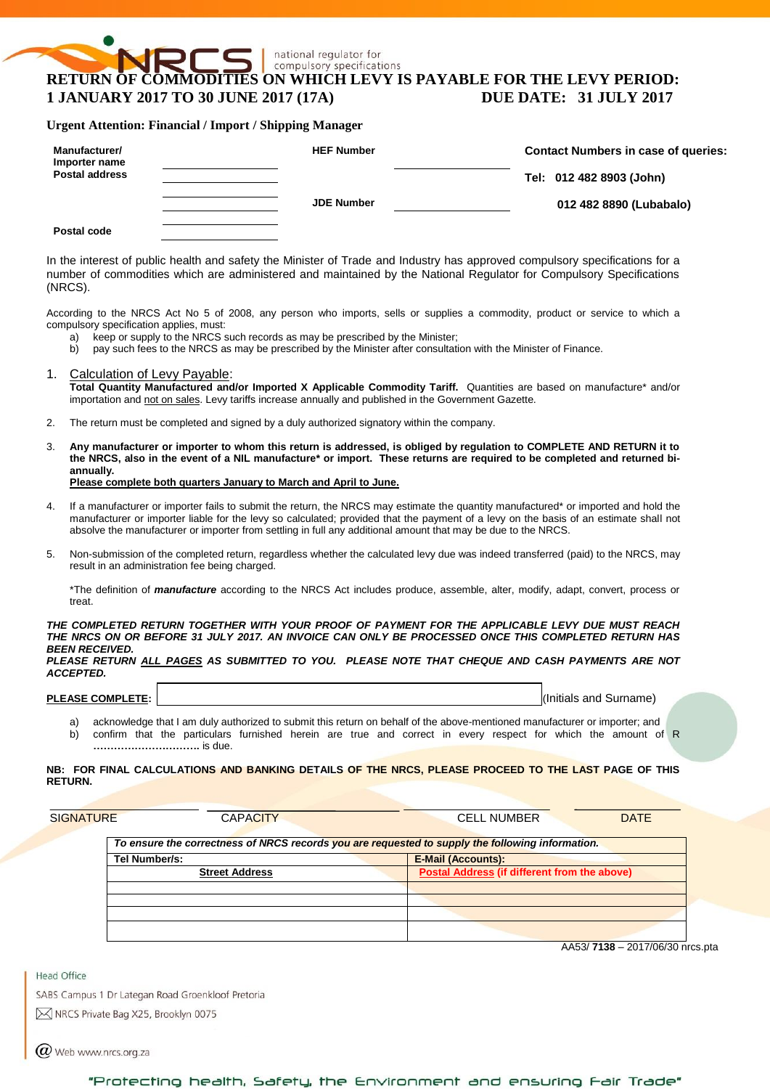# national regulator for compulsory specifications **RETURN OF COMMODITIES ON WHICH LEVY IS PAYABLE FOR THE LEVY PERIOD: 1 JANUARY 2017 TO 30 JUNE 2017 (17A) DUE DATE: 31 JULY 2017**

### **Urgent Attention: Financial / Import / Shipping Manager**

| Manufacturer/<br>Importer name | <b>HEF Number</b> | <b>Contact Numbers in case of queries:</b> |
|--------------------------------|-------------------|--------------------------------------------|
| <b>Postal address</b>          |                   | Tel: 012 482 8903 (John)                   |
|                                | <b>JDE Number</b> | 012 482 8890 (Lubabalo)                    |
| Postal code                    |                   |                                            |

In the interest of public health and safety the Minister of Trade and Industry has approved compulsory specifications for a number of commodities which are administered and maintained by the National Regulator for Compulsory Specifications (NRCS).

According to the NRCS Act No 5 of 2008, any person who imports, sells or supplies a commodity, product or service to which a compulsory specification applies, must:

- a) keep or supply to the NRCS such records as may be prescribed by the Minister;
- b) pay such fees to the NRCS as may be prescribed by the Minister after consultation with the Minister of Finance.
- 1. Calculation of Levy Payable: **Total Quantity Manufactured and/or Imported X Applicable Commodity Tariff.** Quantities are based on manufacture\* and/or importation and not on sales. Levy tariffs increase annually and published in the Government Gazette.
- 2. The return must be completed and signed by a duly authorized signatory within the company.
- 3. **Any manufacturer or importer to whom this return is addressed, is obliged by regulation to COMPLETE AND RETURN it to the NRCS, also in the event of a NIL manufacture\* or import. These returns are required to be completed and returned biannually. Please complete both quarters January to March and April to June.**
- If a manufacturer or importer fails to submit the return, the NRCS may estimate the quantity manufactured\* or imported and hold the manufacturer or importer liable for the levy so calculated; provided that the payment of a levy on the basis of an estimate shall not absolve the manufacturer or importer from settling in full any additional amount that may be due to the NRCS.
- 5. Non-submission of the completed return, regardless whether the calculated levy due was indeed transferred (paid) to the NRCS, may result in an administration fee being charged.

\*The definition of *manufacture* according to the NRCS Act includes produce, assemble, alter, modify, adapt, convert, process or treat.

#### *THE COMPLETED RETURN TOGETHER WITH YOUR PROOF OF PAYMENT FOR THE APPLICABLE LEVY DUE MUST REACH THE NRCS ON OR BEFORE 31 JULY 2017. AN INVOICE CAN ONLY BE PROCESSED ONCE THIS COMPLETED RETURN HAS BEEN RECEIVED.*

*PLEASE RETURN ALL PAGES AS SUBMITTED TO YOU. PLEASE NOTE THAT CHEQUE AND CASH PAYMENTS ARE NOT ACCEPTED.*

**PLEASE COMPLETE:** I, and I, and I, and I, and I, and I, and I, and I, and I, and I, and I, and I, and I, and I, and I, and I, and I, and I, and I, and I, and I, and I, and I, and I, and I, and I, and I, and I, and I, and

- a) acknowledge that I am duly authorized to submit this return on behalf of the above-mentioned manufacturer or importer; and
- b) confirm that the particulars furnished herein are true and correct in every respect for which the amount of R **………………………….** is due.

### **NB: FOR FINAL CALCULATIONS AND BANKING DETAILS OF THE NRCS, PLEASE PROCEED TO THE LAST PAGE OF THIS RETURN.**

| SIGNATURE     | <b>CAPACITY</b>       | <b>CELL NUMBER</b><br><b>DATE</b>                                                                |
|---------------|-----------------------|--------------------------------------------------------------------------------------------------|
|               |                       | To ensure the correctness of NRCS records you are requested to supply the following information. |
| Tel Number/s: |                       | <b>E-Mail (Accounts):</b>                                                                        |
|               | <b>Street Address</b> | Postal Address (if different from the above)                                                     |
|               |                       |                                                                                                  |
|               |                       |                                                                                                  |
|               |                       |                                                                                                  |
|               |                       |                                                                                                  |

AA53/ **7138** – 2017/06/30 nrcs.pta

**Head Office** 

SABS Campus 1 Dr Lategan Road Groenkloof Pretoria M NRCS Private Bag X25, Brooklyn 0075

 $\omega$  Web www.nrcs.org.za

"Protecting health, Safety, the Environment and ensuring Fair Trade"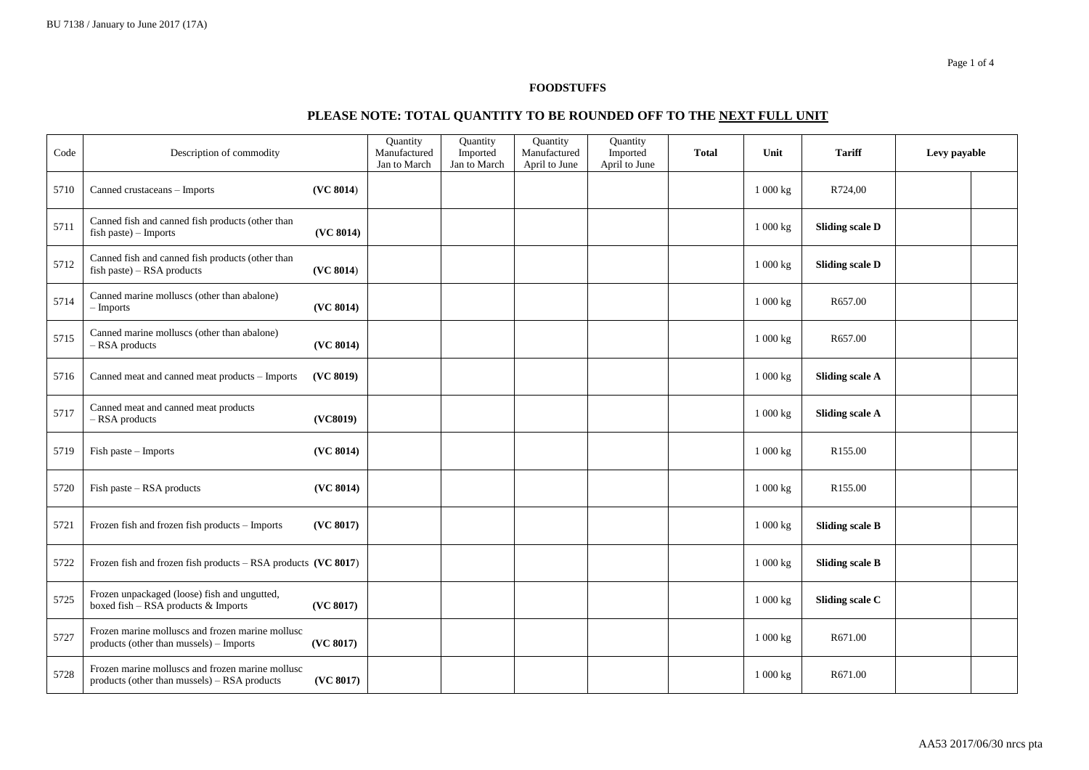## **FOODSTUFFS**

# **PLEASE NOTE: TOTAL QUANTITY TO BE ROUNDED OFF TO THE NEXT FULL UNIT**

| Code | Description of commodity                                                                         |           | Quantity<br>Manufactured<br>Jan to March | Quantity<br>Imported<br>Jan to March | Quantity<br>Manufactured<br>April to June | Quantity<br>Imported<br>April to June | <b>Total</b> | Unit     | <b>Tariff</b>          | Levy payable |  |
|------|--------------------------------------------------------------------------------------------------|-----------|------------------------------------------|--------------------------------------|-------------------------------------------|---------------------------------------|--------------|----------|------------------------|--------------|--|
| 5710 | Canned crustaceans - Imports                                                                     | (VC 8014) |                                          |                                      |                                           |                                       |              | 1 000 kg | R724,00                |              |  |
| 5711 | Canned fish and canned fish products (other than<br>fish paste) - Imports                        | (VC 8014) |                                          |                                      |                                           |                                       |              | 1 000 kg | <b>Sliding scale D</b> |              |  |
| 5712 | Canned fish and canned fish products (other than<br>$fish$ paste) – RSA products                 | (VC 8014) |                                          |                                      |                                           |                                       |              | 1 000 kg | <b>Sliding scale D</b> |              |  |
| 5714 | Canned marine molluscs (other than abalone)<br>$-$ Imports                                       | (VC 8014) |                                          |                                      |                                           |                                       |              | 1000 kg  | R657.00                |              |  |
| 5715 | Canned marine molluscs (other than abalone)<br>- RSA products                                    | (VC 8014) |                                          |                                      |                                           |                                       |              | 1 000 kg | R657.00                |              |  |
| 5716 | Canned meat and canned meat products - Imports                                                   | (VC 8019) |                                          |                                      |                                           |                                       |              | 1 000 kg | <b>Sliding scale A</b> |              |  |
| 5717 | Canned meat and canned meat products<br>$-$ RSA products                                         | (VC8019)  |                                          |                                      |                                           |                                       |              | 1 000 kg | <b>Sliding scale A</b> |              |  |
| 5719 | Fish paste - Imports                                                                             | (VC 8014) |                                          |                                      |                                           |                                       |              | 1 000 kg | R155.00                |              |  |
| 5720 | Fish paste - RSA products                                                                        | (VC 8014) |                                          |                                      |                                           |                                       |              | 1 000 kg | R155.00                |              |  |
| 5721 | Frozen fish and frozen fish products - Imports                                                   | (VC 8017) |                                          |                                      |                                           |                                       |              | 1 000 kg | <b>Sliding scale B</b> |              |  |
| 5722 | Frozen fish and frozen fish products - RSA products (VC 8017)                                    |           |                                          |                                      |                                           |                                       |              | 1 000 kg | <b>Sliding scale B</b> |              |  |
| 5725 | Frozen unpackaged (loose) fish and ungutted,<br>boxed fish - RSA products & Imports              | (VC 8017) |                                          |                                      |                                           |                                       |              | 1 000 kg | Sliding scale C        |              |  |
| 5727 | Frozen marine molluscs and frozen marine mollusc<br>products (other than mussels) - Imports      | (VC 8017) |                                          |                                      |                                           |                                       |              | 1 000 kg | R671.00                |              |  |
| 5728 | Frozen marine molluscs and frozen marine mollusc<br>products (other than mussels) – RSA products | (VC 8017) |                                          |                                      |                                           |                                       |              | 1 000 kg | R671.00                |              |  |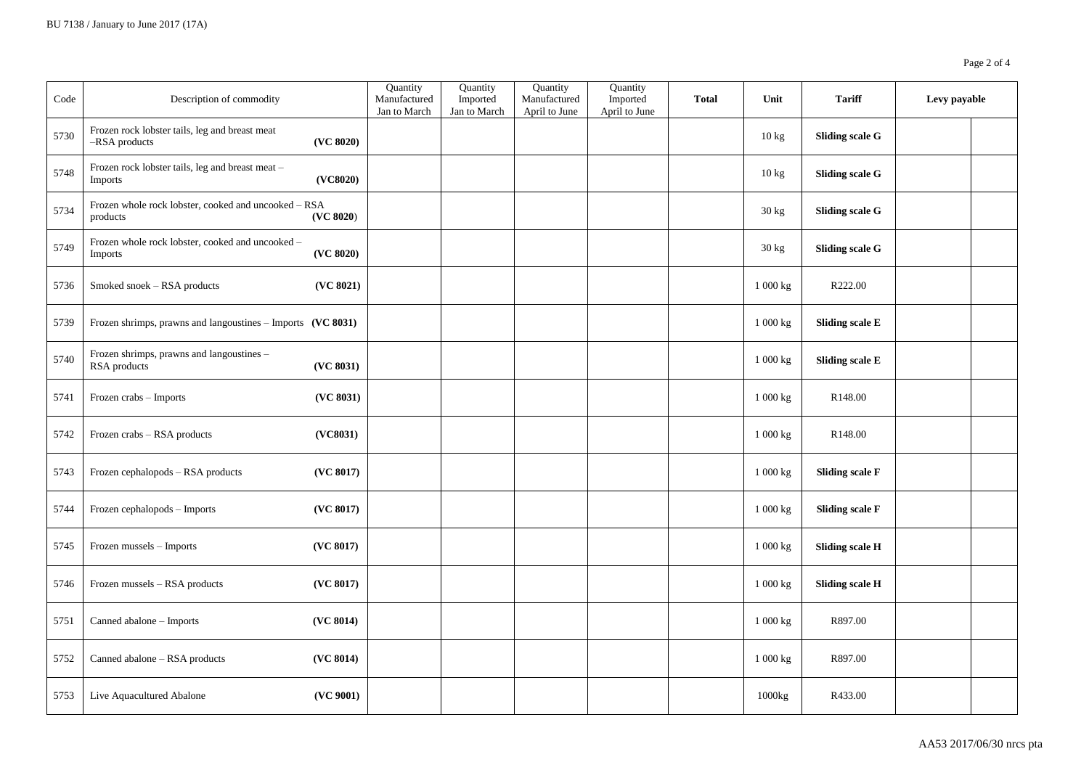| Code | Description of commodity                                         |           | Quantity<br>Manufactured<br>Jan to March | Quantity<br>Imported<br>Jan to March | Quantity<br>Manufactured<br>April to June | Quantity<br>Imported<br>April to June | <b>Total</b> | Unit                  | <b>Tariff</b>          | Levy payable |  |
|------|------------------------------------------------------------------|-----------|------------------------------------------|--------------------------------------|-------------------------------------------|---------------------------------------|--------------|-----------------------|------------------------|--------------|--|
| 5730 | Frozen rock lobster tails, leg and breast meat<br>-RSA products  | (VC 8020) |                                          |                                      |                                           |                                       |              | 10 kg                 | <b>Sliding scale G</b> |              |  |
| 5748 | Frozen rock lobster tails, leg and breast meat -<br>Imports      | (VC8020)  |                                          |                                      |                                           |                                       |              | 10 kg                 | <b>Sliding scale G</b> |              |  |
| 5734 | Frozen whole rock lobster, cooked and uncooked – RSA<br>products | (VC 8020) |                                          |                                      |                                           |                                       |              | 30 kg                 | <b>Sliding scale G</b> |              |  |
| 5749 | Frozen whole rock lobster, cooked and uncooked -<br>Imports      | (VC 8020) |                                          |                                      |                                           |                                       |              | 30 kg                 | <b>Sliding scale G</b> |              |  |
| 5736 | Smoked snoek - RSA products                                      | (VC 8021) |                                          |                                      |                                           |                                       |              | $1\ 000\ \mathrm{kg}$ | R222.00                |              |  |
| 5739 | Frozen shrimps, prawns and langoustines - Imports (VC 8031)      |           |                                          |                                      |                                           |                                       |              | 1 000 kg              | <b>Sliding scale E</b> |              |  |
| 5740 | Frozen shrimps, prawns and langoustines -<br>RSA products        | (VC 8031) |                                          |                                      |                                           |                                       |              | 1 000 kg              | <b>Sliding scale E</b> |              |  |
| 5741 | Frozen crabs - Imports                                           | (VC 8031) |                                          |                                      |                                           |                                       |              | 1 000 kg              | R148.00                |              |  |
| 5742 | Frozen crabs - RSA products                                      | (VC8031)  |                                          |                                      |                                           |                                       |              | 1 000 kg              | R148.00                |              |  |
| 5743 | Frozen cephalopods - RSA products                                | (VC 8017) |                                          |                                      |                                           |                                       |              | $1\ 000\ \mathrm{kg}$ | <b>Sliding scale F</b> |              |  |
| 5744 | Frozen cephalopods - Imports                                     | (VC 8017) |                                          |                                      |                                           |                                       |              | 1 000 kg              | <b>Sliding scale F</b> |              |  |
| 5745 | Frozen mussels - Imports                                         | (VC 8017) |                                          |                                      |                                           |                                       |              | $1\ 000$ kg           | <b>Sliding scale H</b> |              |  |
| 5746 | Frozen mussels - RSA products                                    | (VC 8017) |                                          |                                      |                                           |                                       |              | $1\ 000$ kg           | <b>Sliding scale H</b> |              |  |
| 5751 | Canned abalone - Imports                                         | (VC 8014) |                                          |                                      |                                           |                                       |              | 1 000 kg              | R897.00                |              |  |
| 5752 | Canned abalone - RSA products                                    | (VC 8014) |                                          |                                      |                                           |                                       |              | 1 000 kg              | R897.00                |              |  |
| 5753 | Live Aquacultured Abalone                                        | (VC 9001) |                                          |                                      |                                           |                                       |              | 1000kg                | R433.00                |              |  |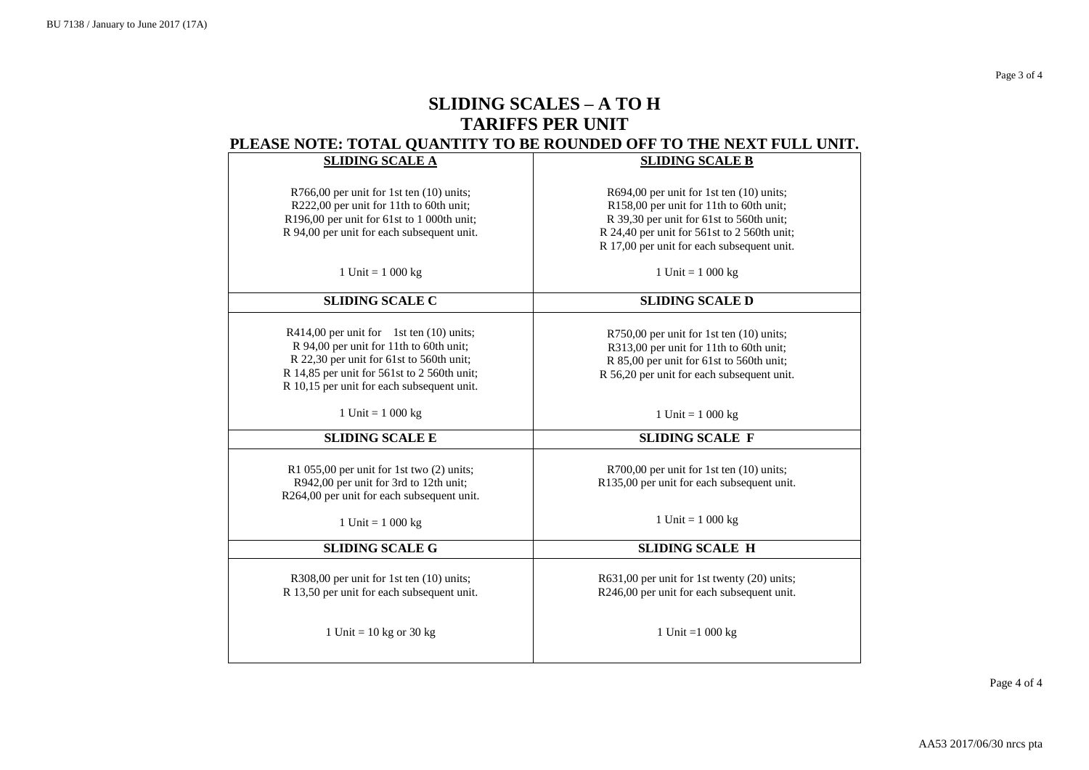# **SLIDING SCALES – A TO H TARIFFS PER UNIT PLEASE NOTE: TOTAL QUANTITY TO BE ROUNDED OFF TO THE NEXT FULL UNIT.**

|                                              | CEANS ROLL, TOTAL QUARTER TO BE NOURBED OFF TO THE REAL FUEL URIL. |
|----------------------------------------------|--------------------------------------------------------------------|
| <b>SLIDING SCALE A</b>                       | <b>SLIDING SCALE B</b>                                             |
|                                              |                                                                    |
| R766,00 per unit for 1st ten (10) units;     | R694,00 per unit for 1st ten $(10)$ units;                         |
| R222,00 per unit for 11th to 60th unit;      | R158,00 per unit for 11th to 60th unit;                            |
| R196,00 per unit for 61st to 1 000th unit;   | R 39,30 per unit for 61st to 560th unit;                           |
| R 94,00 per unit for each subsequent unit.   | R 24,40 per unit for 561st to 2 560th unit;                        |
|                                              | R 17,00 per unit for each subsequent unit.                         |
|                                              |                                                                    |
| 1 Unit = $1000 \text{ kg}$                   | 1 Unit = $1\ 000\ kg$                                              |
|                                              |                                                                    |
| <b>SLIDING SCALE C</b>                       | <b>SLIDING SCALE D</b>                                             |
|                                              |                                                                    |
| $R414,00$ per unit for 1st ten $(10)$ units; | R750,00 per unit for 1st ten (10) units;                           |
| R 94,00 per unit for 11th to 60th unit;      | R313,00 per unit for 11th to 60th unit;                            |
| R 22,30 per unit for 61st to 560th unit;     | R 85,00 per unit for 61st to 560th unit;                           |
| R 14,85 per unit for 561st to 2 560th unit;  | R 56,20 per unit for each subsequent unit.                         |
| R 10,15 per unit for each subsequent unit.   |                                                                    |
|                                              |                                                                    |
| 1 Unit = $1000 \text{ kg}$                   | 1 Unit = $1000 \text{ kg}$                                         |
| <b>SLIDING SCALE E</b>                       | <b>SLIDING SCALE F</b>                                             |
|                                              |                                                                    |
| R1 055,00 per unit for 1st two (2) units;    | R700,00 per unit for 1st ten (10) units;                           |
| R942,00 per unit for 3rd to 12th unit;       | R135,00 per unit for each subsequent unit.                         |
| R264,00 per unit for each subsequent unit.   |                                                                    |
|                                              |                                                                    |
| 1 Unit = $1000 \text{ kg}$                   | 1 Unit = $1000 kg$                                                 |
| <b>SLIDING SCALE G</b>                       | <b>SLIDING SCALE H</b>                                             |
|                                              |                                                                    |
| R308,00 per unit for 1st ten (10) units;     | R631,00 per unit for 1st twenty (20) units;                        |
| R 13,50 per unit for each subsequent unit.   | R246,00 per unit for each subsequent unit.                         |
|                                              |                                                                    |
|                                              |                                                                    |
| 1 Unit = $10$ kg or 30 kg                    | 1 Unit = $1000 \text{ kg}$                                         |
|                                              |                                                                    |
|                                              |                                                                    |

Page 4 of 4